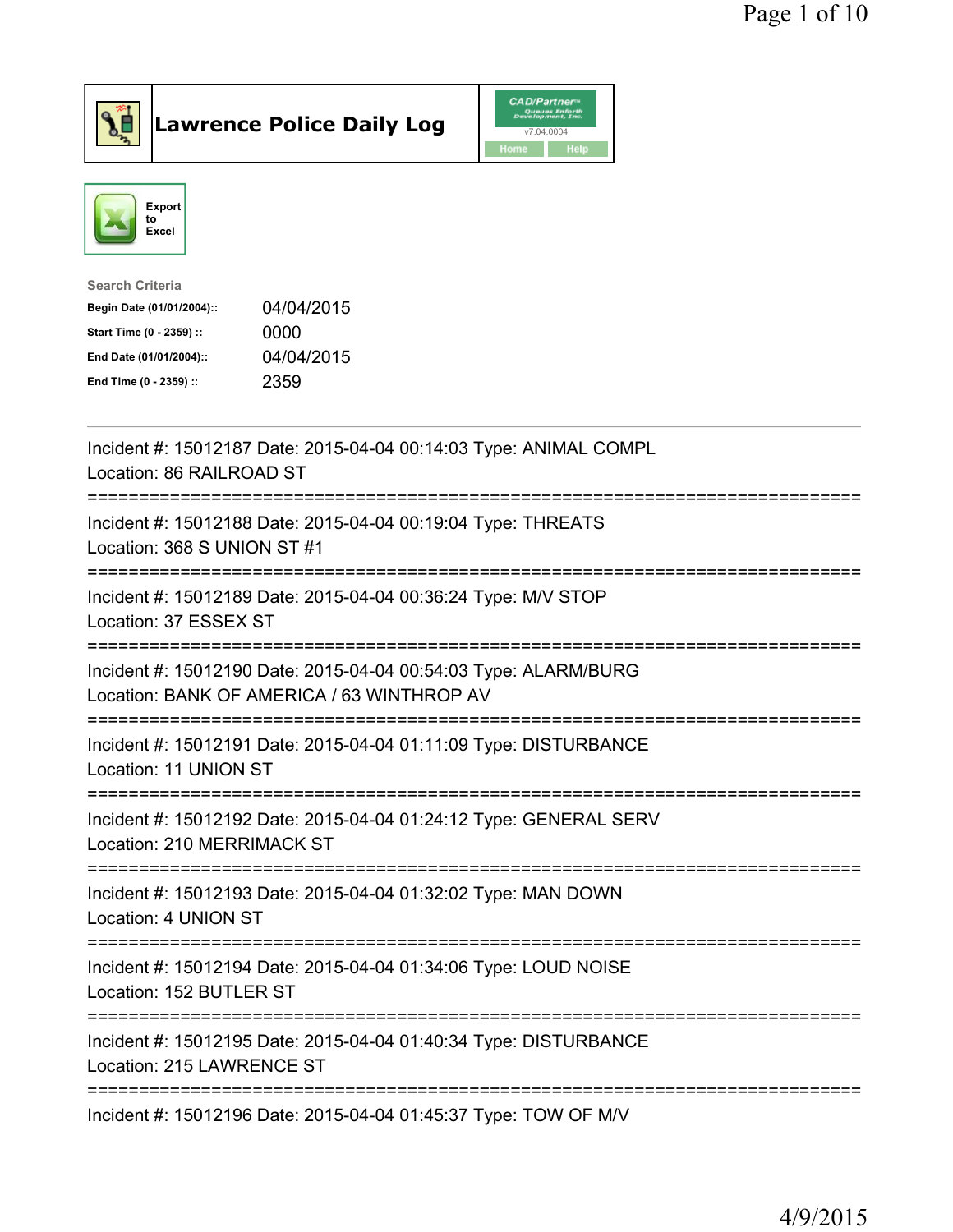



| <b>Search Criteria</b>    |            |
|---------------------------|------------|
| Begin Date (01/01/2004):: | 04/04/2015 |
| Start Time (0 - 2359) ::  | 0000       |
| End Date (01/01/2004)::   | 04/04/2015 |
| End Time (0 - 2359) ::    | 2359       |
|                           |            |

| Incident #: 15012187 Date: 2015-04-04 00:14:03 Type: ANIMAL COMPL<br>Location: 86 RAILROAD ST<br>================================         |
|-------------------------------------------------------------------------------------------------------------------------------------------|
| Incident #: 15012188 Date: 2015-04-04 00:19:04 Type: THREATS<br>Location: 368 S UNION ST #1                                               |
| Incident #: 15012189 Date: 2015-04-04 00:36:24 Type: M/V STOP<br>Location: 37 ESSEX ST                                                    |
| Incident #: 15012190 Date: 2015-04-04 00:54:03 Type: ALARM/BURG<br>Location: BANK OF AMERICA / 63 WINTHROP AV<br>======================== |
| Incident #: 15012191 Date: 2015-04-04 01:11:09 Type: DISTURBANCE<br>Location: 11 UNION ST<br>.----------------------------------          |
| Incident #: 15012192 Date: 2015-04-04 01:24:12 Type: GENERAL SERV<br>Location: 210 MERRIMACK ST                                           |
| Incident #: 15012193 Date: 2015-04-04 01:32:02 Type: MAN DOWN<br>Location: 4 UNION ST                                                     |
| Incident #: 15012194 Date: 2015-04-04 01:34:06 Type: LOUD NOISE<br>Location: 152 BUTLER ST                                                |
| Incident #: 15012195 Date: 2015-04-04 01:40:34 Type: DISTURBANCE<br>Location: 215 LAWRENCE ST                                             |
| Incident #: 15012196 Date: 2015-04-04 01:45:37 Type: TOW OF M/V                                                                           |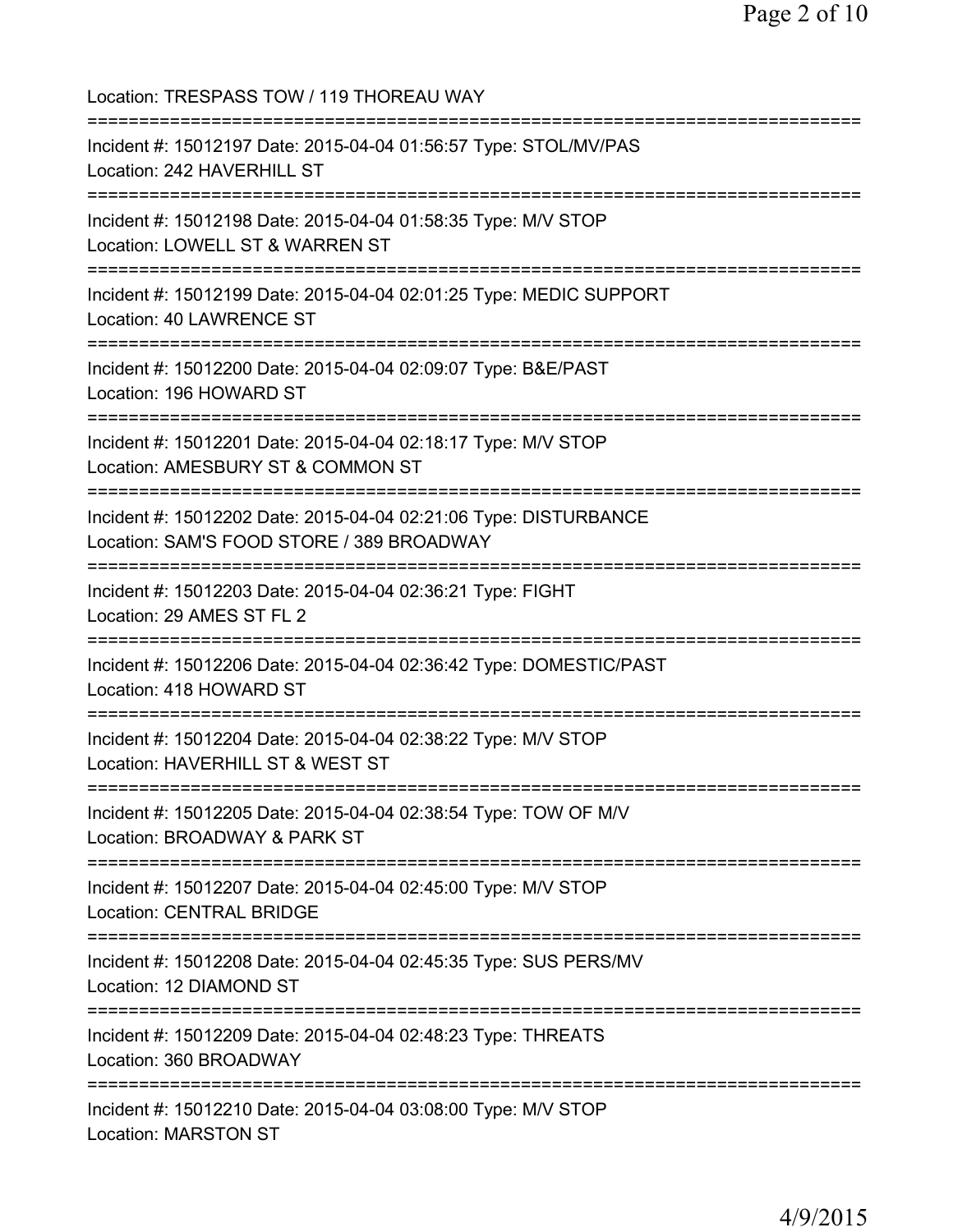Location: TRESPASS TOW / 119 THOREAU WAY =========================================================================== Incident #: 15012197 Date: 2015-04-04 01:56:57 Type: STOL/MV/PAS Location: 242 HAVERHILL ST =========================================================================== Incident #: 15012198 Date: 2015-04-04 01:58:35 Type: M/V STOP Location: LOWELL ST & WARREN ST =========================================================================== Incident #: 15012199 Date: 2015-04-04 02:01:25 Type: MEDIC SUPPORT Location: 40 LAWRENCE ST =========================================================================== Incident #: 15012200 Date: 2015-04-04 02:09:07 Type: B&E/PAST Location: 196 HOWARD ST =========================================================================== Incident #: 15012201 Date: 2015-04-04 02:18:17 Type: M/V STOP Location: AMESBURY ST & COMMON ST =========================================================================== Incident #: 15012202 Date: 2015-04-04 02:21:06 Type: DISTURBANCE Location: SAM'S FOOD STORE / 389 BROADWAY =========================================================================== Incident #: 15012203 Date: 2015-04-04 02:36:21 Type: FIGHT Location: 29 AMES ST FL 2 =========================================================================== Incident #: 15012206 Date: 2015-04-04 02:36:42 Type: DOMESTIC/PAST Location: 418 HOWARD ST =========================================================================== Incident #: 15012204 Date: 2015-04-04 02:38:22 Type: M/V STOP Location: HAVERHILL ST & WEST ST =========================================================================== Incident #: 15012205 Date: 2015-04-04 02:38:54 Type: TOW OF M/V Location: BROADWAY & PARK ST =========================================================================== Incident #: 15012207 Date: 2015-04-04 02:45:00 Type: M/V STOP Location: CENTRAL BRIDGE =========================================================================== Incident #: 15012208 Date: 2015-04-04 02:45:35 Type: SUS PERS/MV Location: 12 DIAMOND ST =========================================================================== Incident #: 15012209 Date: 2015-04-04 02:48:23 Type: THREATS Location: 360 BROADWAY =========================================================================== Incident #: 15012210 Date: 2015-04-04 03:08:00 Type: M/V STOP Location: MARSTON ST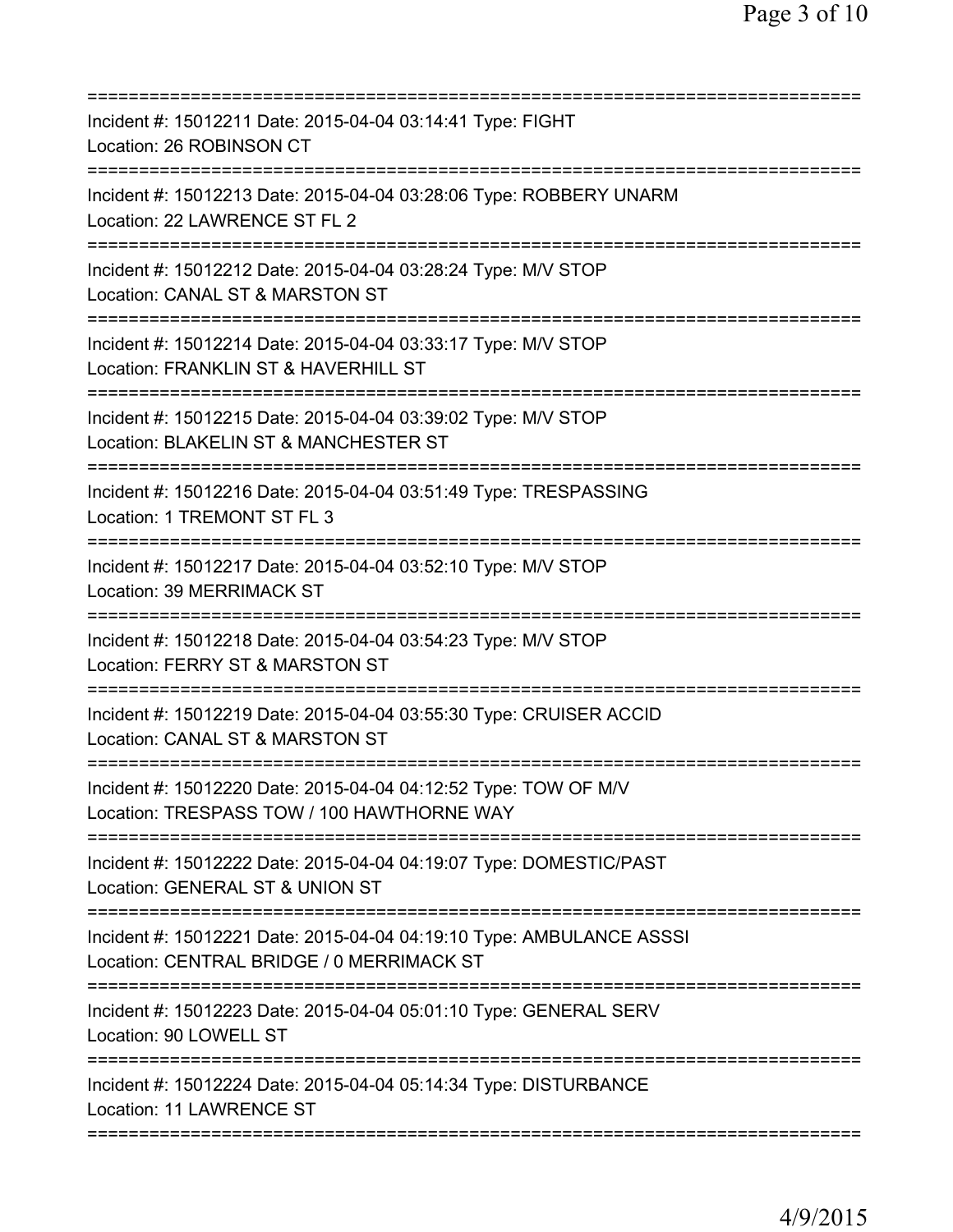| ==========================                                                                                                                    |
|-----------------------------------------------------------------------------------------------------------------------------------------------|
| Incident #: 15012211 Date: 2015-04-04 03:14:41 Type: FIGHT<br>Location: 26 ROBINSON CT                                                        |
| Incident #: 15012213 Date: 2015-04-04 03:28:06 Type: ROBBERY UNARM<br>Location: 22 LAWRENCE ST FL 2                                           |
| Incident #: 15012212 Date: 2015-04-04 03:28:24 Type: M/V STOP<br>Location: CANAL ST & MARSTON ST                                              |
| Incident #: 15012214 Date: 2015-04-04 03:33:17 Type: M/V STOP<br>Location: FRANKLIN ST & HAVERHILL ST                                         |
| Incident #: 15012215 Date: 2015-04-04 03:39:02 Type: M/V STOP<br>Location: BLAKELIN ST & MANCHESTER ST                                        |
| Incident #: 15012216 Date: 2015-04-04 03:51:49 Type: TRESPASSING<br>Location: 1 TREMONT ST FL 3                                               |
| Incident #: 15012217 Date: 2015-04-04 03:52:10 Type: M/V STOP<br>Location: 39 MERRIMACK ST                                                    |
| Incident #: 15012218 Date: 2015-04-04 03:54:23 Type: M/V STOP<br>Location: FERRY ST & MARSTON ST                                              |
| Incident #: 15012219 Date: 2015-04-04 03:55:30 Type: CRUISER ACCID<br>Location: CANAL ST & MARSTON ST                                         |
| Incident #: 15012220 Date: 2015-04-04 04:12:52 Type: TOW OF M/V<br>Location: TRESPASS TOW / 100 HAWTHORNE WAY<br>============================ |
| Incident #: 15012222 Date: 2015-04-04 04:19:07 Type: DOMESTIC/PAST<br>Location: GENERAL ST & UNION ST                                         |
| Incident #: 15012221 Date: 2015-04-04 04:19:10 Type: AMBULANCE ASSSI<br>Location: CENTRAL BRIDGE / 0 MERRIMACK ST                             |
| Incident #: 15012223 Date: 2015-04-04 05:01:10 Type: GENERAL SERV<br>Location: 90 LOWELL ST                                                   |
| Incident #: 15012224 Date: 2015-04-04 05:14:34 Type: DISTURBANCE<br>Location: 11 LAWRENCE ST                                                  |
|                                                                                                                                               |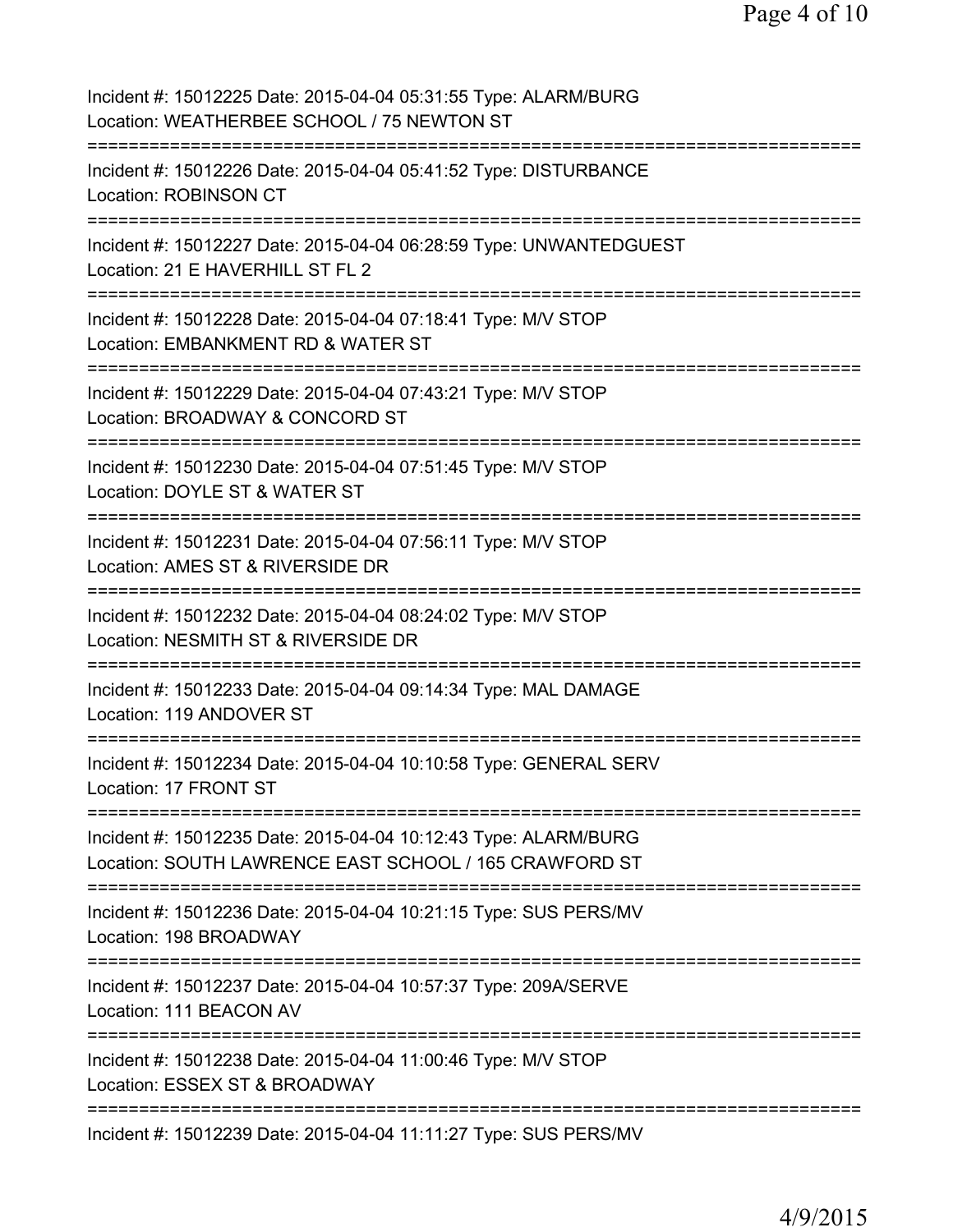| Incident #: 15012225 Date: 2015-04-04 05:31:55 Type: ALARM/BURG<br>Location: WEATHERBEE SCHOOL / 75 NEWTON ST                                    |
|--------------------------------------------------------------------------------------------------------------------------------------------------|
| Incident #: 15012226 Date: 2015-04-04 05:41:52 Type: DISTURBANCE<br><b>Location: ROBINSON CT</b><br>====================================         |
| Incident #: 15012227 Date: 2015-04-04 06:28:59 Type: UNWANTEDGUEST<br>Location: 21 E HAVERHILL ST FL 2                                           |
| Incident #: 15012228 Date: 2015-04-04 07:18:41 Type: M/V STOP<br>Location: EMBANKMENT RD & WATER ST                                              |
| Incident #: 15012229 Date: 2015-04-04 07:43:21 Type: M/V STOP<br>Location: BROADWAY & CONCORD ST                                                 |
| Incident #: 15012230 Date: 2015-04-04 07:51:45 Type: M/V STOP<br>Location: DOYLE ST & WATER ST                                                   |
| Incident #: 15012231 Date: 2015-04-04 07:56:11 Type: M/V STOP<br>Location: AMES ST & RIVERSIDE DR<br>======================                      |
| Incident #: 15012232 Date: 2015-04-04 08:24:02 Type: M/V STOP<br>Location: NESMITH ST & RIVERSIDE DR                                             |
| Incident #: 15012233 Date: 2015-04-04 09:14:34 Type: MAL DAMAGE<br>Location: 119 ANDOVER ST                                                      |
| Incident #: 15012234 Date: 2015-04-04 10:10:58 Type: GENERAL SERV<br>Location: 17 FRONT ST                                                       |
| Incident #: 15012235 Date: 2015-04-04 10:12:43 Type: ALARM/BURG<br>Location: SOUTH LAWRENCE EAST SCHOOL / 165 CRAWFORD ST<br>:================== |
| Incident #: 15012236 Date: 2015-04-04 10:21:15 Type: SUS PERS/MV<br>Location: 198 BROADWAY                                                       |
| Incident #: 15012237 Date: 2015-04-04 10:57:37 Type: 209A/SERVE<br>Location: 111 BEACON AV                                                       |
| Incident #: 15012238 Date: 2015-04-04 11:00:46 Type: M/V STOP<br>Location: ESSEX ST & BROADWAY                                                   |
| Incident #: 15012239 Date: 2015-04-04 11:11:27 Type: SUS PERS/MV                                                                                 |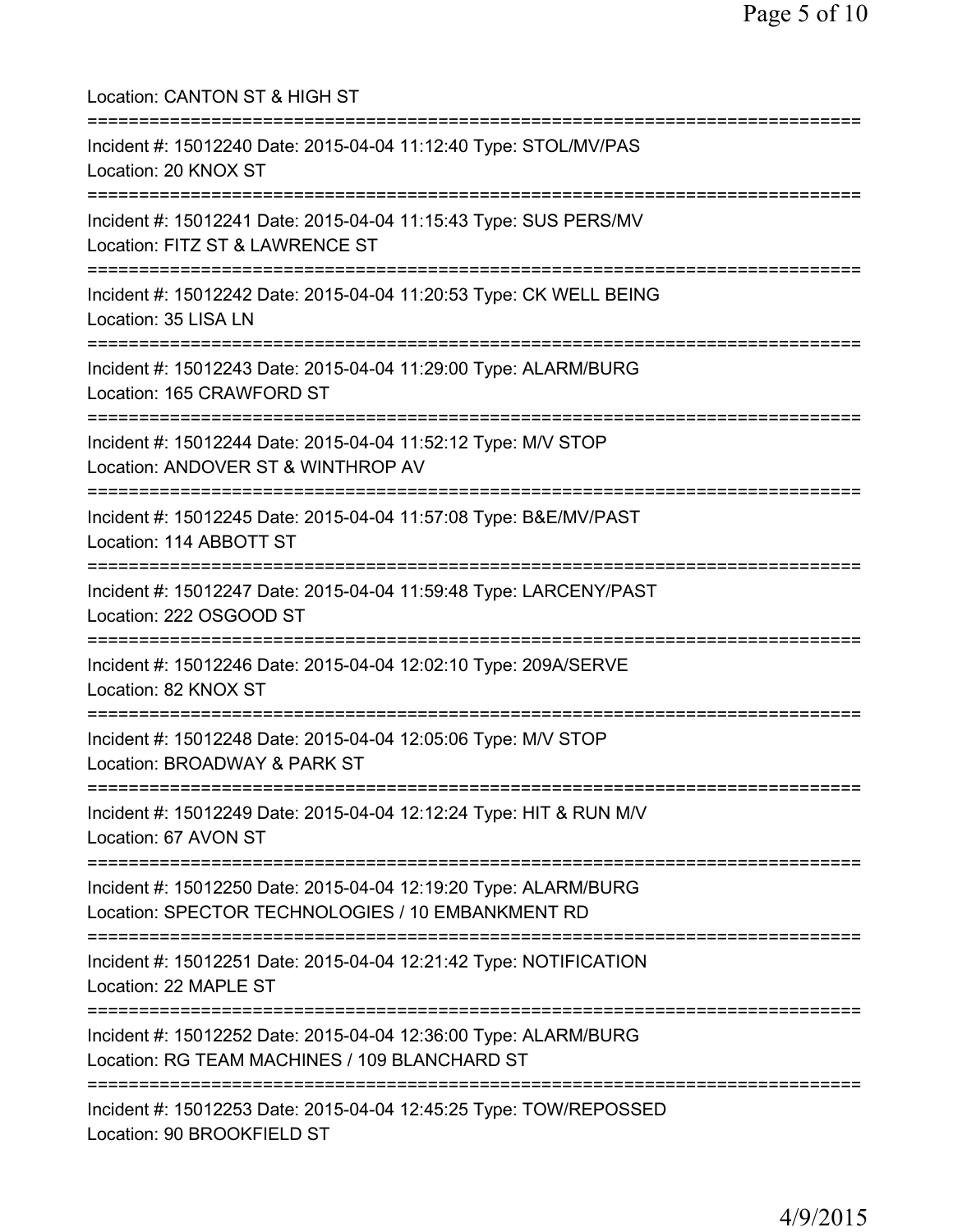| Location: CANTON ST & HIGH ST<br>===============================                                                                                             |
|--------------------------------------------------------------------------------------------------------------------------------------------------------------|
| Incident #: 15012240 Date: 2015-04-04 11:12:40 Type: STOL/MV/PAS<br>Location: 20 KNOX ST<br>==========================                                       |
| Incident #: 15012241 Date: 2015-04-04 11:15:43 Type: SUS PERS/MV<br>Location: FITZ ST & LAWRENCE ST                                                          |
| Incident #: 15012242 Date: 2015-04-04 11:20:53 Type: CK WELL BEING<br>Location: 35 LISA LN                                                                   |
| Incident #: 15012243 Date: 2015-04-04 11:29:00 Type: ALARM/BURG<br>Location: 165 CRAWFORD ST                                                                 |
| ========================<br>Incident #: 15012244 Date: 2015-04-04 11:52:12 Type: M/V STOP<br>Location: ANDOVER ST & WINTHROP AV<br>------------------------- |
| Incident #: 15012245 Date: 2015-04-04 11:57:08 Type: B&E/MV/PAST<br>Location: 114 ABBOTT ST                                                                  |
| Incident #: 15012247 Date: 2015-04-04 11:59:48 Type: LARCENY/PAST<br>Location: 222 OSGOOD ST                                                                 |
| Incident #: 15012246 Date: 2015-04-04 12:02:10 Type: 209A/SERVE<br>Location: 82 KNOX ST                                                                      |
| Incident #: 15012248 Date: 2015-04-04 12:05:06 Type: M/V STOP<br>Location: BROADWAY & PARK ST                                                                |
| Incident #: 15012249 Date: 2015-04-04 12:12:24 Type: HIT & RUN M/V<br>Location: 67 AVON ST                                                                   |
| Incident #: 15012250 Date: 2015-04-04 12:19:20 Type: ALARM/BURG<br>Location: SPECTOR TECHNOLOGIES / 10 EMBANKMENT RD                                         |
| Incident #: 15012251 Date: 2015-04-04 12:21:42 Type: NOTIFICATION<br>Location: 22 MAPLE ST                                                                   |
| Incident #: 15012252 Date: 2015-04-04 12:36:00 Type: ALARM/BURG<br>Location: RG TEAM MACHINES / 109 BLANCHARD ST                                             |
| Incident #: 15012253 Date: 2015-04-04 12:45:25 Type: TOW/REPOSSED<br>Location: 90 BROOKFIELD ST                                                              |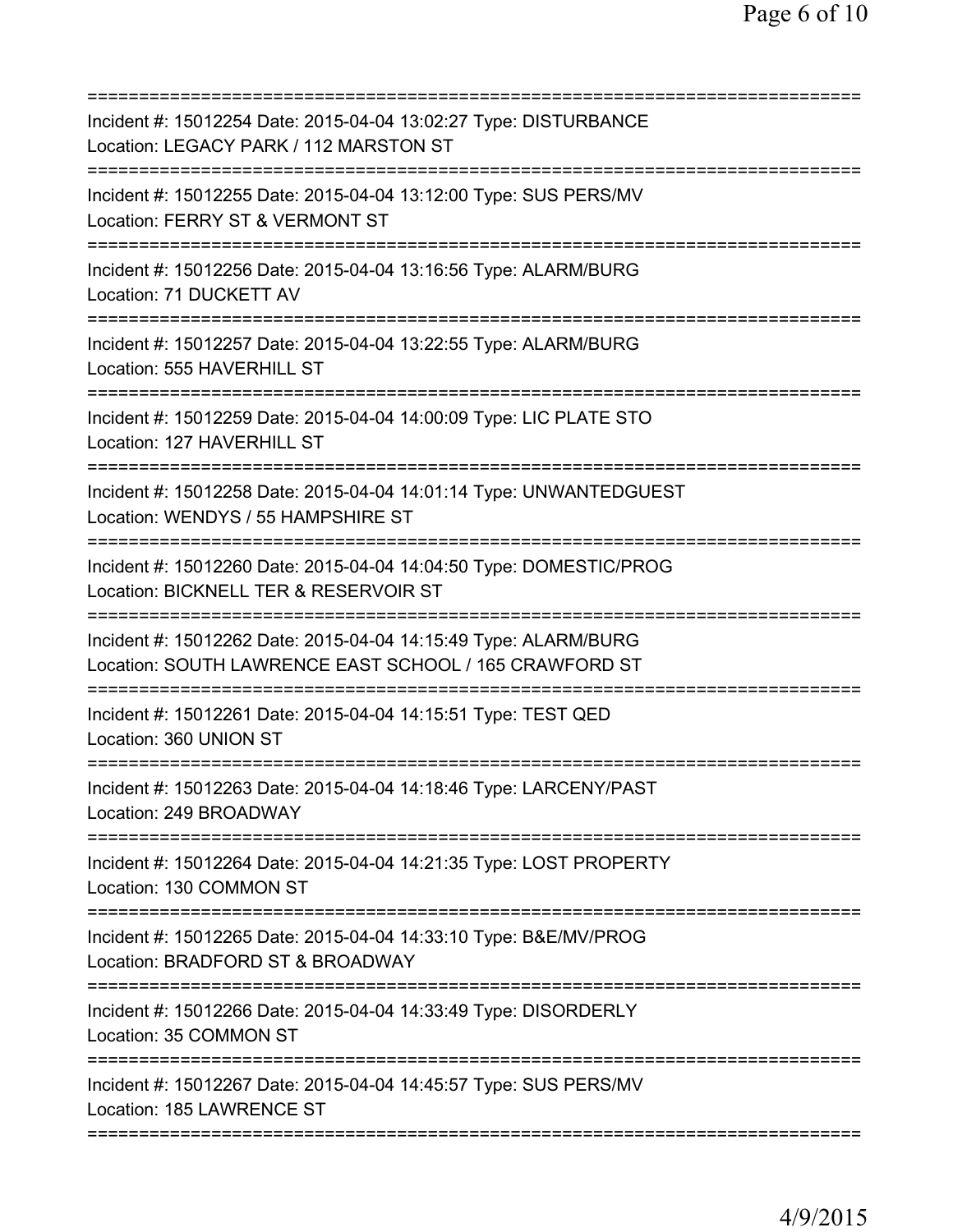| Incident #: 15012254 Date: 2015-04-04 13:02:27 Type: DISTURBANCE<br>Location: LEGACY PARK / 112 MARSTON ST<br>============================ |
|--------------------------------------------------------------------------------------------------------------------------------------------|
| Incident #: 15012255 Date: 2015-04-04 13:12:00 Type: SUS PERS/MV<br>Location: FERRY ST & VERMONT ST                                        |
| Incident #: 15012256 Date: 2015-04-04 13:16:56 Type: ALARM/BURG<br>Location: 71 DUCKETT AV                                                 |
| Incident #: 15012257 Date: 2015-04-04 13:22:55 Type: ALARM/BURG<br>Location: 555 HAVERHILL ST                                              |
| Incident #: 15012259 Date: 2015-04-04 14:00:09 Type: LIC PLATE STO<br>Location: 127 HAVERHILL ST                                           |
| Incident #: 15012258 Date: 2015-04-04 14:01:14 Type: UNWANTEDGUEST<br>Location: WENDYS / 55 HAMPSHIRE ST                                   |
| Incident #: 15012260 Date: 2015-04-04 14:04:50 Type: DOMESTIC/PROG<br>Location: BICKNELL TER & RESERVOIR ST                                |
| Incident #: 15012262 Date: 2015-04-04 14:15:49 Type: ALARM/BURG<br>Location: SOUTH LAWRENCE EAST SCHOOL / 165 CRAWFORD ST                  |
| Incident #: 15012261 Date: 2015-04-04 14:15:51 Type: TEST QED<br>Location: 360 UNION ST                                                    |
| Incident #: 15012263 Date: 2015-04-04 14:18:46 Type: LARCENY/PAST<br>Location: 249 BROADWAY                                                |
| ====================================<br>Incident #: 15012264 Date: 2015-04-04 14:21:35 Type: LOST PROPERTY<br>Location: 130 COMMON ST      |
| Incident #: 15012265 Date: 2015-04-04 14:33:10 Type: B&E/MV/PROG<br>Location: BRADFORD ST & BROADWAY                                       |
| Incident #: 15012266 Date: 2015-04-04 14:33:49 Type: DISORDERLY<br>Location: 35 COMMON ST                                                  |
| Incident #: 15012267 Date: 2015-04-04 14:45:57 Type: SUS PERS/MV<br>Location: 185 LAWRENCE ST                                              |
|                                                                                                                                            |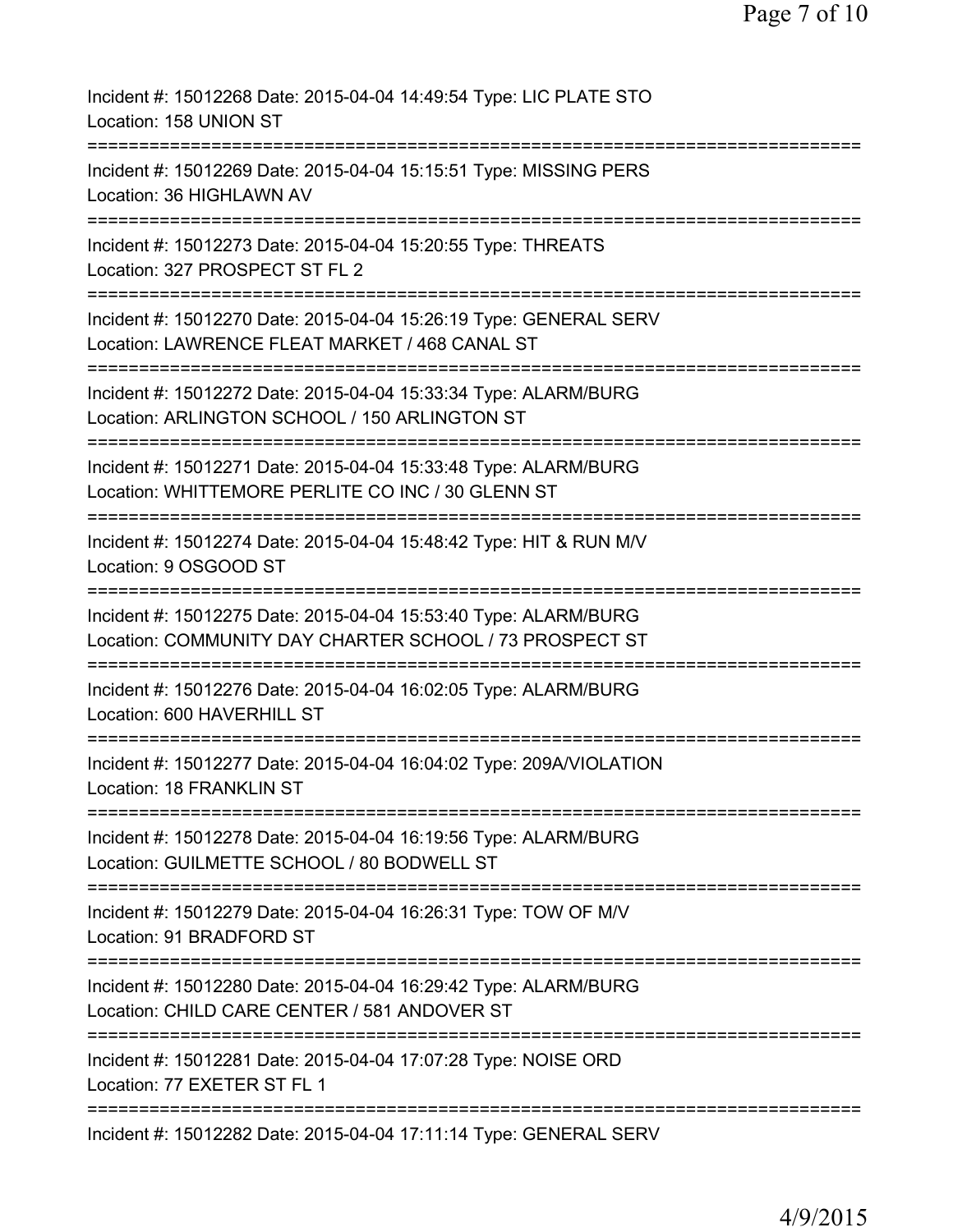Incident #: 15012268 Date: 2015-04-04 14:49:54 Type: LIC PLATE STO Location: 158 UNION ST =========================================================================== Incident #: 15012269 Date: 2015-04-04 15:15:51 Type: MISSING PERS Location: 36 HIGHLAWN AV =========================================================================== Incident #: 15012273 Date: 2015-04-04 15:20:55 Type: THREATS Location: 327 PROSPECT ST FL 2 =========================================================================== Incident #: 15012270 Date: 2015-04-04 15:26:19 Type: GENERAL SERV Location: LAWRENCE FLEAT MARKET / 468 CANAL ST =========================================================================== Incident #: 15012272 Date: 2015-04-04 15:33:34 Type: ALARM/BURG Location: ARLINGTON SCHOOL / 150 ARLINGTON ST =========================================================================== Incident #: 15012271 Date: 2015-04-04 15:33:48 Type: ALARM/BURG Location: WHITTEMORE PERLITE CO INC / 30 GLENN ST =========================================================================== Incident #: 15012274 Date: 2015-04-04 15:48:42 Type: HIT & RUN M/V Location: 9 OSGOOD ST =========================================================================== Incident #: 15012275 Date: 2015-04-04 15:53:40 Type: ALARM/BURG Location: COMMUNITY DAY CHARTER SCHOOL / 73 PROSPECT ST =========================================================================== Incident #: 15012276 Date: 2015-04-04 16:02:05 Type: ALARM/BURG Location: 600 HAVERHILL ST =========================================================================== Incident #: 15012277 Date: 2015-04-04 16:04:02 Type: 209A/VIOLATION Location: 18 FRANKLIN ST =========================================================================== Incident #: 15012278 Date: 2015-04-04 16:19:56 Type: ALARM/BURG Location: GUILMETTE SCHOOL / 80 BODWELL ST =========================================================================== Incident #: 15012279 Date: 2015-04-04 16:26:31 Type: TOW OF M/V Location: 91 BRADFORD ST =========================================================================== Incident #: 15012280 Date: 2015-04-04 16:29:42 Type: ALARM/BURG Location: CHILD CARE CENTER / 581 ANDOVER ST =========================================================================== Incident #: 15012281 Date: 2015-04-04 17:07:28 Type: NOISE ORD Location: 77 EXETER ST FL 1 =========================================================================== Incident #: 15012282 Date: 2015-04-04 17:11:14 Type: GENERAL SERV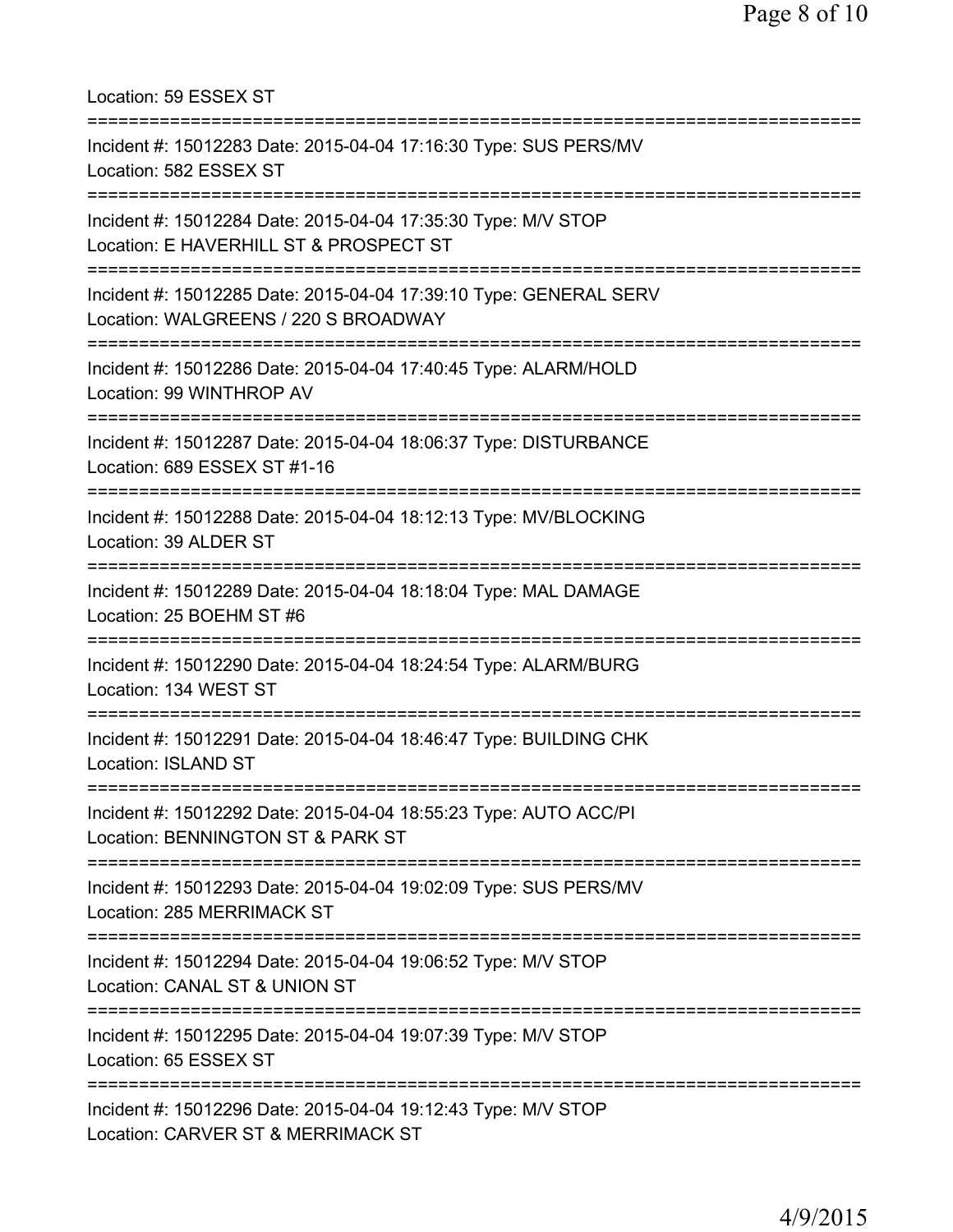| Location: 59 ESSEX ST                                                                                     |
|-----------------------------------------------------------------------------------------------------------|
| Incident #: 15012283 Date: 2015-04-04 17:16:30 Type: SUS PERS/MV<br>Location: 582 ESSEX ST                |
| Incident #: 15012284 Date: 2015-04-04 17:35:30 Type: M/V STOP<br>Location: E HAVERHILL ST & PROSPECT ST   |
| Incident #: 15012285 Date: 2015-04-04 17:39:10 Type: GENERAL SERV<br>Location: WALGREENS / 220 S BROADWAY |
| Incident #: 15012286 Date: 2015-04-04 17:40:45 Type: ALARM/HOLD<br>Location: 99 WINTHROP AV               |
| Incident #: 15012287 Date: 2015-04-04 18:06:37 Type: DISTURBANCE<br>Location: 689 ESSEX ST #1-16          |
| Incident #: 15012288 Date: 2015-04-04 18:12:13 Type: MV/BLOCKING<br>Location: 39 ALDER ST                 |
| Incident #: 15012289 Date: 2015-04-04 18:18:04 Type: MAL DAMAGE<br>Location: 25 BOEHM ST #6               |
| Incident #: 15012290 Date: 2015-04-04 18:24:54 Type: ALARM/BURG<br>Location: 134 WEST ST                  |
| Incident #: 15012291 Date: 2015-04-04 18:46:47 Type: BUILDING CHK<br><b>Location: ISLAND ST</b>           |
| Incident #: 15012292 Date: 2015-04-04 18:55:23 Type: AUTO ACC/PI<br>Location: BENNINGTON ST & PARK ST     |
| Incident #: 15012293 Date: 2015-04-04 19:02:09 Type: SUS PERS/MV<br>Location: 285 MERRIMACK ST            |
| Incident #: 15012294 Date: 2015-04-04 19:06:52 Type: M/V STOP<br>Location: CANAL ST & UNION ST            |
| Incident #: 15012295 Date: 2015-04-04 19:07:39 Type: M/V STOP<br>Location: 65 ESSEX ST                    |
| Incident #: 15012296 Date: 2015-04-04 19:12:43 Type: M/V STOP<br>Location: CARVER ST & MERRIMACK ST       |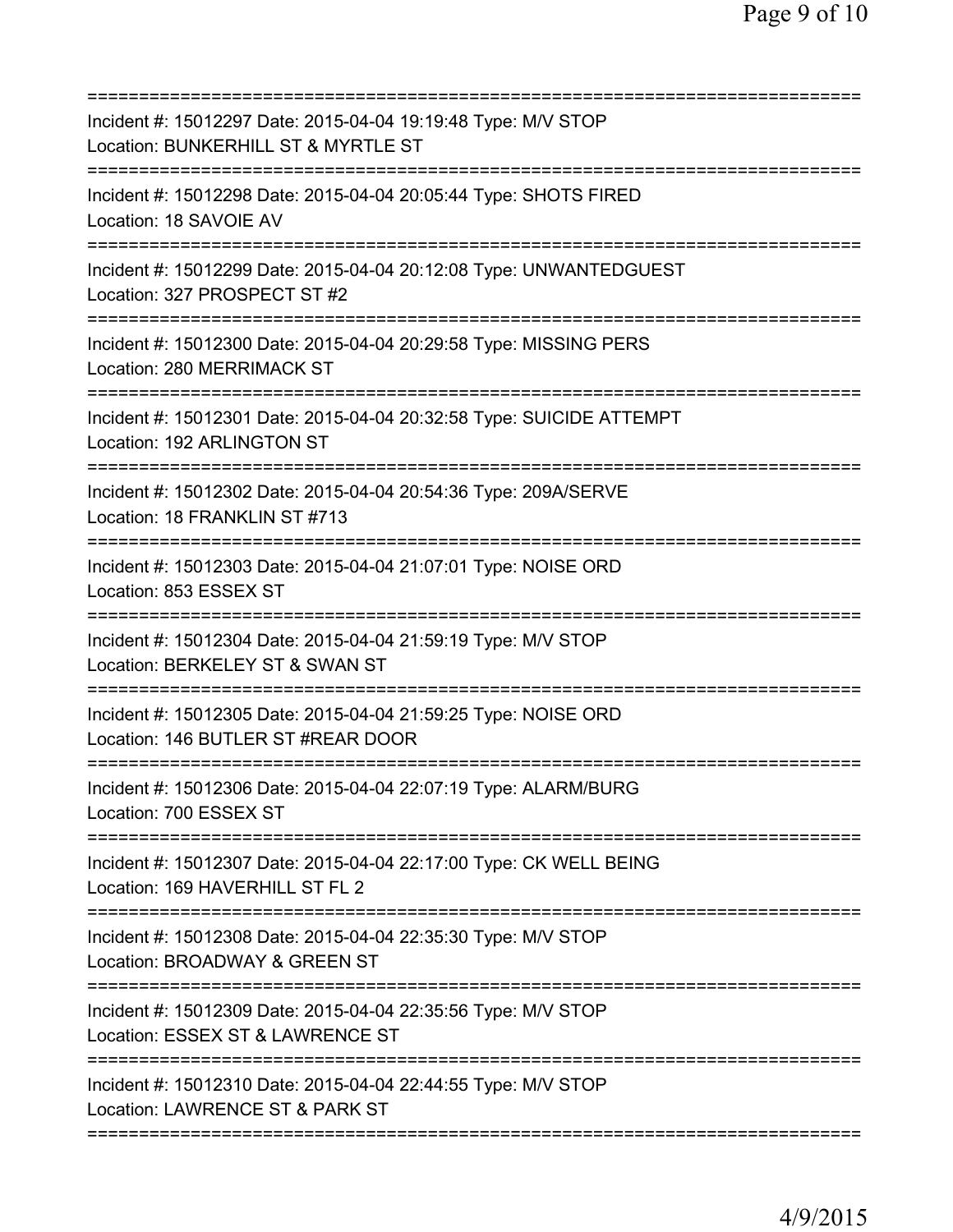| Incident #: 15012297 Date: 2015-04-04 19:19:48 Type: M/V STOP<br>Location: BUNKERHILL ST & MYRTLE ST            |
|-----------------------------------------------------------------------------------------------------------------|
| Incident #: 15012298 Date: 2015-04-04 20:05:44 Type: SHOTS FIRED<br>Location: 18 SAVOIE AV                      |
| Incident #: 15012299 Date: 2015-04-04 20:12:08 Type: UNWANTEDGUEST<br>Location: 327 PROSPECT ST #2              |
| Incident #: 15012300 Date: 2015-04-04 20:29:58 Type: MISSING PERS<br>Location: 280 MERRIMACK ST                 |
| Incident #: 15012301 Date: 2015-04-04 20:32:58 Type: SUICIDE ATTEMPT<br>Location: 192 ARLINGTON ST              |
| Incident #: 15012302 Date: 2015-04-04 20:54:36 Type: 209A/SERVE<br>Location: 18 FRANKLIN ST #713<br>=========== |
| Incident #: 15012303 Date: 2015-04-04 21:07:01 Type: NOISE ORD<br>Location: 853 ESSEX ST                        |
| Incident #: 15012304 Date: 2015-04-04 21:59:19 Type: M/V STOP<br>Location: BERKELEY ST & SWAN ST                |
| Incident #: 15012305 Date: 2015-04-04 21:59:25 Type: NOISE ORD<br>Location: 146 BUTLER ST #REAR DOOR            |
| Incident #: 15012306 Date: 2015-04-04 22:07:19 Type: ALARM/BURG<br>Location: 700 ESSEX ST                       |
| Incident #: 15012307 Date: 2015-04-04 22:17:00 Type: CK WELL BEING<br>Location: 169 HAVERHILL ST FL 2           |
| Incident #: 15012308 Date: 2015-04-04 22:35:30 Type: M/V STOP<br>Location: BROADWAY & GREEN ST                  |
| Incident #: 15012309 Date: 2015-04-04 22:35:56 Type: M/V STOP<br>Location: ESSEX ST & LAWRENCE ST               |
| Incident #: 15012310 Date: 2015-04-04 22:44:55 Type: M/V STOP<br>Location: LAWRENCE ST & PARK ST                |
|                                                                                                                 |